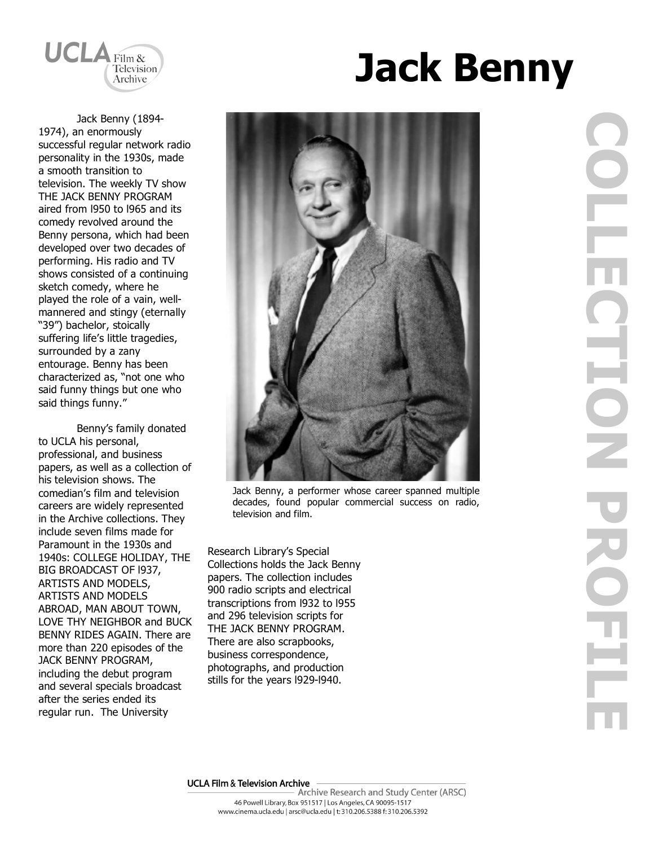

Jack Benny (1894- 1974), an enormously successful regular network radio personality in the 1930s, made a smooth transition to television. The weekly TV show THE JACK BENNY PROGRAM aired from l950 to l965 and its comedy revolved around the Benny persona, which had been developed over two decades of performing. His radio and TV shows consisted of a continuing sketch comedy, where he played the role of a vain, wellmannered and stingy (eternally "39") bachelor, stoically suffering life's little tragedies, surrounded by a zany entourage. Benny has been characterized as, "not one who said funny things but one who said things funny."

Benny's family donated to UCLA his personal, professional, and business papers, as well as a collection of his television shows. The comedian's film and television careers are widely represented in the Archive collections. They include seven films made for Paramount in the 1930s and 1940s: COLLEGE HOLIDAY, THE BIG BROADCAST OF l937, ARTISTS AND MODELS, ARTISTS AND MODELS ABROAD, MAN ABOUT TOWN, LOVE THY NEIGHBOR and BUCK BENNY RIDES AGAIN. There are more than 220 episodes of the JACK BENNY PROGRAM, including the debut program and several specials broadcast after the series ended its regular run. The University





Jack Benny, a performer whose career spanned multiple decades, found popular commercial success on radio, television and film.

Research Library's Special Collections holds the Jack Benny papers. The collection includes 900 radio scripts and electrical transcriptions from l932 to l955 and 296 television scripts for THE JACK BENNY PROGRAM. There are also scrapbooks, business correspondence, photographs, and production stills for the years l929-l940.